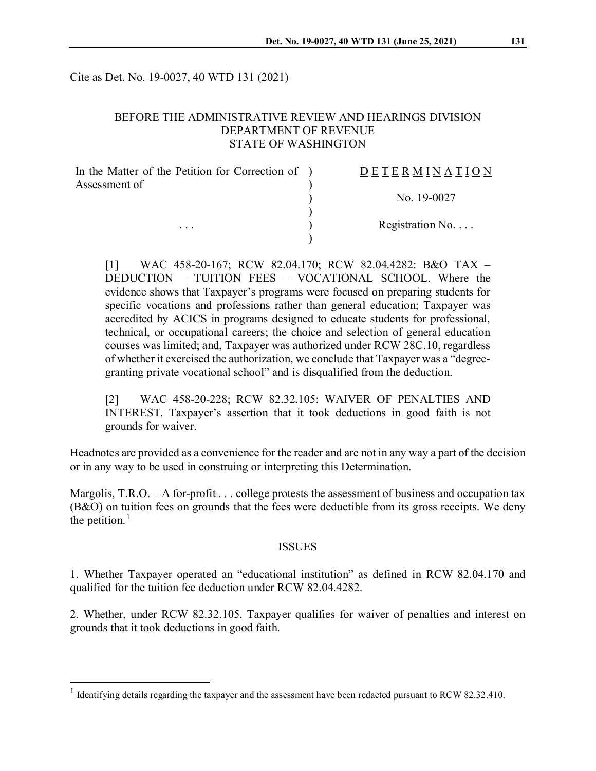Cite as Det. No. 19-0027, 40 WTD 131 (2021)

## BEFORE THE ADMINISTRATIVE REVIEW AND HEARINGS DIVISION DEPARTMENT OF REVENUE STATE OF WASHINGTON

| In the Matter of the Petition for Correction of ) | DETERMINATION            |
|---------------------------------------------------|--------------------------|
| Assessment of                                     |                          |
| $\cdots$                                          | No. 19-0027              |
|                                                   | Registration No. $\dots$ |
|                                                   |                          |

[1] WAC 458-20-167; RCW 82.04.170; RCW 82.04.4282: B&O TAX – DEDUCTION – TUITION FEES – VOCATIONAL SCHOOL. Where the evidence shows that Taxpayer's programs were focused on preparing students for specific vocations and professions rather than general education; Taxpayer was accredited by ACICS in programs designed to educate students for professional, technical, or occupational careers; the choice and selection of general education courses was limited; and, Taxpayer was authorized under RCW 28C.10, regardless of whether it exercised the authorization, we conclude that Taxpayer was a "degreegranting private vocational school" and is disqualified from the deduction.

[2] WAC 458-20-228; RCW 82.32.105: WAIVER OF PENALTIES AND INTEREST. Taxpayer's assertion that it took deductions in good faith is not grounds for waiver.

Headnotes are provided as a convenience for the reader and are not in any way a part of the decision or in any way to be used in construing or interpreting this Determination.

Margolis, T.R.O. – A for-profit . . . college protests the assessment of business and occupation tax (B&O) on tuition fees on grounds that the fees were deductible from its gross receipts. We deny the petition. $<sup>1</sup>$  $<sup>1</sup>$  $<sup>1</sup>$ </sup>

### ISSUES

1. Whether Taxpayer operated an "educational institution" as defined in RCW 82.04.170 and qualified for the tuition fee deduction under RCW 82.04.4282.

2. Whether, under RCW 82.32.105, Taxpayer qualifies for waiver of penalties and interest on grounds that it took deductions in good faith.

<span id="page-0-0"></span><sup>&</sup>lt;sup>1</sup> Identifying details regarding the taxpayer and the assessment have been redacted pursuant to RCW 82.32.410.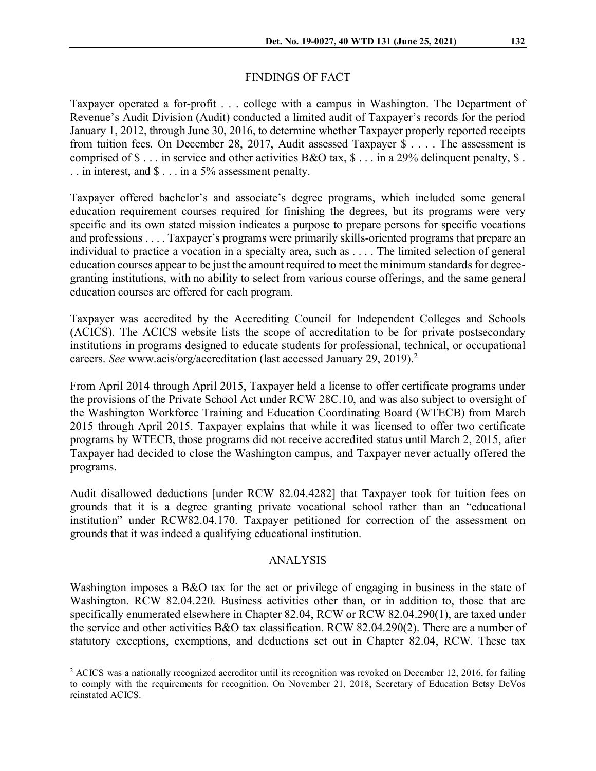### FINDINGS OF FACT

Taxpayer operated a for-profit . . . college with a campus in Washington. The Department of Revenue's Audit Division (Audit) conducted a limited audit of Taxpayer's records for the period January 1, 2012, through June 30, 2016, to determine whether Taxpayer properly reported receipts from tuition fees. On December 28, 2017, Audit assessed Taxpayer \$ . . . . The assessment is comprised of  $\$\dots$  in service and other activities B&O tax,  $\$\dots$  in a 29% delinguent penalty,  $\$\dots$ . . in interest, and  $\$\dots$  in a 5% assessment penalty.

Taxpayer offered bachelor's and associate's degree programs, which included some general education requirement courses required for finishing the degrees, but its programs were very specific and its own stated mission indicates a purpose to prepare persons for specific vocations and professions . . . . Taxpayer's programs were primarily skills-oriented programs that prepare an individual to practice a vocation in a specialty area, such as . . . . The limited selection of general education courses appear to be just the amount required to meet the minimum standards for degreegranting institutions, with no ability to select from various course offerings, and the same general education courses are offered for each program.

Taxpayer was accredited by the Accrediting Council for Independent Colleges and Schools (ACICS). The ACICS website lists the scope of accreditation to be for private postsecondary institutions in programs designed to educate students for professional, technical, or occupational careers. *See* www.acis/org/accreditation (last accessed January 29, 2019).[2](#page-1-0)

From April 2014 through April 2015, Taxpayer held a license to offer certificate programs under the provisions of the Private School Act under RCW 28C.10, and was also subject to oversight of the Washington Workforce Training and Education Coordinating Board (WTECB) from March 2015 through April 2015. Taxpayer explains that while it was licensed to offer two certificate programs by WTECB, those programs did not receive accredited status until March 2, 2015, after Taxpayer had decided to close the Washington campus, and Taxpayer never actually offered the programs.

Audit disallowed deductions [under RCW 82.04.4282] that Taxpayer took for tuition fees on grounds that it is a degree granting private vocational school rather than an "educational institution" under RCW82.04.170. Taxpayer petitioned for correction of the assessment on grounds that it was indeed a qualifying educational institution.

#### ANALYSIS

Washington imposes a B&O tax for the act or privilege of engaging in business in the state of Washington. RCW 82.04.220. Business activities other than, or in addition to, those that are specifically enumerated elsewhere in Chapter 82.04, RCW or RCW 82.04.290(1), are taxed under the service and other activities B&O tax classification. RCW 82.04.290(2). There are a number of statutory exceptions, exemptions, and deductions set out in Chapter 82.04, RCW. These tax

<span id="page-1-0"></span> $2$  ACICS was a nationally recognized accreditor until its recognition was revoked on December 12, 2016, for failing to comply with the requirements for recognition. On November 21, 2018, Secretary of Education Betsy DeVos reinstated ACICS.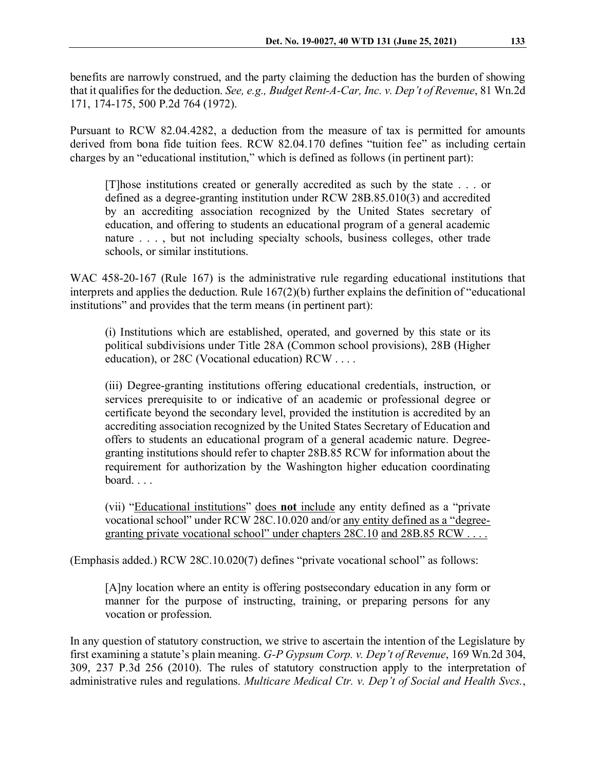benefits are narrowly construed, and the party claiming the deduction has the burden of showing that it qualifies for the deduction. *See, e.g., Budget Rent-A-Car, Inc. v. Dep't of Revenue*, 81 Wn.2d 171, 174-175, 500 P.2d 764 (1972).

Pursuant to RCW 82.04.4282, a deduction from the measure of tax is permitted for amounts derived from bona fide tuition fees. RCW 82.04.170 defines "tuition fee" as including certain charges by an "educational institution," which is defined as follows (in pertinent part):

[T]hose institutions created or generally accredited as such by the state . . . or defined as a degree-granting institution under RCW 28B.85.010(3) and accredited by an accrediting association recognized by the United States secretary of education, and offering to students an educational program of a general academic nature . . . , but not including specialty schools, business colleges, other trade schools, or similar institutions.

WAC 458-20-167 (Rule 167) is the administrative rule regarding educational institutions that interprets and applies the deduction. Rule 167(2)(b) further explains the definition of "educational institutions" and provides that the term means (in pertinent part):

(i) Institutions which are established, operated, and governed by this state or its political subdivisions under Title 28A (Common school provisions), 28B (Higher education), or 28C (Vocational education) RCW . . . .

(iii) Degree-granting institutions offering educational credentials, instruction, or services prerequisite to or indicative of an academic or professional degree or certificate beyond the secondary level, provided the institution is accredited by an accrediting association recognized by the United States Secretary of Education and offers to students an educational program of a general academic nature. Degreegranting institutions should refer to chapter [28B.85](http://app.leg.wa.gov/RCW/default.aspx?cite=28B.85) RCW for information about the requirement for authorization by the Washington higher education coordinating board. . . .

(vii) "Educational institutions" does **not** include any entity defined as a "private vocational school" under RCW [28C.10.020](http://app.leg.wa.gov/RCW/default.aspx?cite=28C.10.020) and/or any entity defined as a "degree-granting private vocational school" under chapters [28C.10](http://app.leg.wa.gov/RCW/default.aspx?cite=28C.10) and [28B.85](http://app.leg.wa.gov/RCW/default.aspx?cite=28B.85) RCW . . . .

(Emphasis added.) RCW 28C.10.020(7) defines "private vocational school" as follows:

[A]ny location where an entity is offering postsecondary education in any form or manner for the purpose of instructing, training, or preparing persons for any vocation or profession.

In any question of statutory construction, we strive to ascertain the intention of the Legislature by first examining a statute's plain meaning. *G-P Gypsum Corp. v. Dep't of Revenue*, 169 Wn.2d 304, 309, 237 P.3d 256 (2010). The rules of statutory construction apply to the interpretation of administrative rules and regulations. *Multicare Medical Ctr. v. Dep't of Social and Health Svcs.*,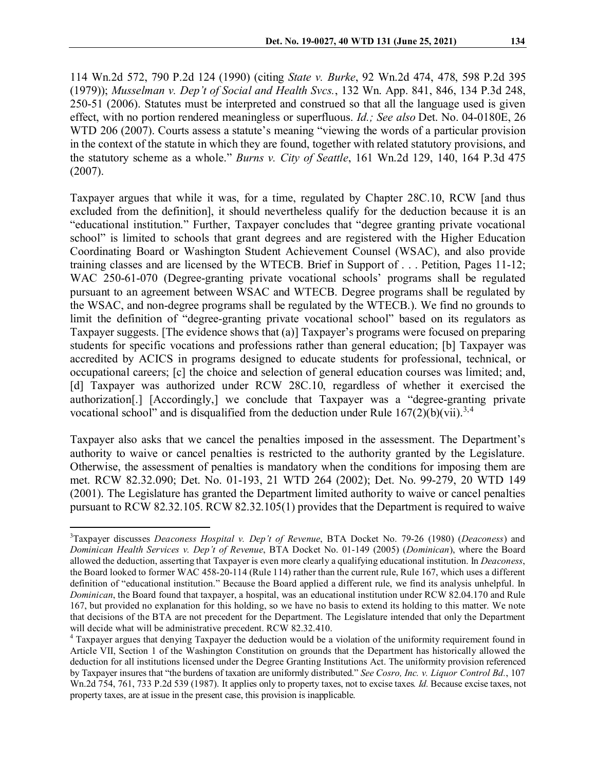114 Wn.2d 572, 790 P.2d 124 (1990) (citing *State v. Burke*, 92 Wn.2d 474, 478, 598 P.2d 395 (1979)); *Musselman v. Dep't of Social and Health Svcs.*, 132 Wn. App. 841, 846, 134 P.3d 248, 250-51 (2006). Statutes must be interpreted and construed so that all the language used is given effect, with no portion rendered meaningless or superfluous. *Id.; See also* Det. No. 04-0180E, 26 WTD 206 (2007). Courts assess a statute's meaning "viewing the words of a particular provision in the context of the statute in which they are found, together with related statutory provisions, and the statutory scheme as a whole." *Burns v. City of Seattle*, 161 Wn.2d 129, 140, 164 P.3d 475 (2007).

Taxpayer argues that while it was, for a time, regulated by Chapter 28C.10, RCW [and thus excluded from the definition], it should nevertheless qualify for the deduction because it is an "educational institution." Further, Taxpayer concludes that "degree granting private vocational school" is limited to schools that grant degrees and are registered with the Higher Education Coordinating Board or Washington Student Achievement Counsel (WSAC), and also provide training classes and are licensed by the WTECB. Brief in Support of . . . Petition, Pages 11-12; WAC 250-61-070 (Degree-granting private vocational schools' programs shall be regulated pursuant to an agreement between WSAC and WTECB. Degree programs shall be regulated by the WSAC, and non-degree programs shall be regulated by the WTECB.). We find no grounds to limit the definition of "degree-granting private vocational school" based on its regulators as Taxpayer suggests. [The evidence shows that (a)] Taxpayer's programs were focused on preparing students for specific vocations and professions rather than general education; [b] Taxpayer was accredited by ACICS in programs designed to educate students for professional, technical, or occupational careers; [c] the choice and selection of general education courses was limited; and, [d] Taxpayer was authorized under RCW 28C.10, regardless of whether it exercised the authorization[.] [Accordingly,] we conclude that Taxpayer was a "degree-granting private vocational school" and is disqualified from the deduction under Rule  $167(2)(b)(vii).$ <sup>[3,](#page-3-0)[4](#page-3-1)</sup>

Taxpayer also asks that we cancel the penalties imposed in the assessment. The Department's authority to waive or cancel penalties is restricted to the authority granted by the Legislature. Otherwise, the assessment of penalties is mandatory when the conditions for imposing them are met. RCW 82.32.090; Det. No. 01-193, 21 WTD 264 (2002); Det. No. 99-279, 20 WTD 149 (2001). The Legislature has granted the Department limited authority to waive or cancel penalties pursuant to RCW 82.32.105. RCW 82.32.105(1) provides that the Department is required to waive

<span id="page-3-0"></span><sup>&</sup>lt;sup>2</sup><br>3 Taxpayer discusses *Deaconess Hospital v. Dep't of Revenue*, BTA Docket No. 79-26 (1980) (*Deaconess*) and *Dominican Health Services v. Dep't of Revenue*, BTA Docket No. 01-149 (2005) (*Dominican*), where the Board allowed the deduction, asserting that Taxpayer is even more clearly a qualifying educational institution. In *Deaconess*, the Board looked to former WAC 458-20-114 (Rule 114) rather than the current rule, Rule 167, which uses a different definition of "educational institution." Because the Board applied a different rule, we find its analysis unhelpful. In *Dominican*, the Board found that taxpayer, a hospital, was an educational institution under RCW 82.04.170 and Rule 167, but provided no explanation for this holding, so we have no basis to extend its holding to this matter. We note that decisions of the BTA are not precedent for the Department. The Legislature intended that only the Department will decide what will be administrative precedent. RCW 82.32.410.

<span id="page-3-1"></span><sup>4</sup> Taxpayer argues that denying Taxpayer the deduction would be a violation of the uniformity requirement found in Article VII, Section 1 of the Washington Constitution on grounds that the Department has historically allowed the deduction for all institutions licensed under the Degree Granting Institutions Act. The uniformity provision referenced by Taxpayer insures that "the burdens of taxation are uniformly distributed." *See Cosro, Inc. v. Liquor Control Bd.*, 107 Wn.2d 754, 761, 733 P.2d 539 (1987). It applies only to property taxes, not to excise taxes*. Id.* Because excise taxes, not property taxes, are at issue in the present case, this provision is inapplicable.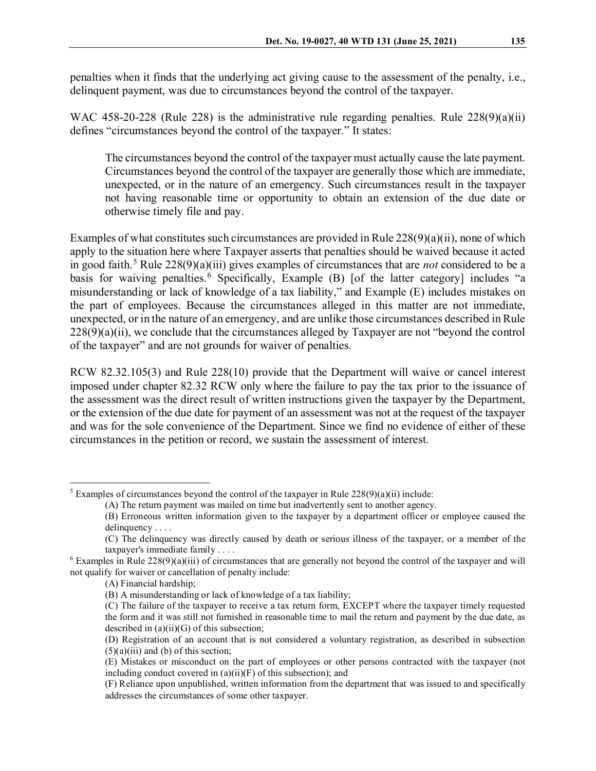penalties when it finds that the underlying act giving cause to the assessment of the penalty, i.e., delinquent payment, was due to circumstances beyond the control of the taxpayer.

WAC 458-20-228 (Rule 228) is the administrative rule regarding penalties. Rule 228(9)(a)(ii) defines "circumstances beyond the control of the taxpayer." It states:

The circumstances beyond the control of the taxpayer must actually cause the late payment. Circumstances beyond the control of the taxpayer are generally those which are immediate, unexpected, or in the nature of an emergency. Such circumstances result in the taxpayer not having reasonable time or opportunity to obtain an extension of the due date or otherwise timely file and pay.

Examples of what constitutes such circumstances are provided in Rule 228(9)(a)(ii), none of which apply to the situation here where Taxpayer asserts that penalties should be waived because it acted in good faith.<sup>[5](#page-4-0)</sup> Rule 228(9)(a)(iii) gives examples of circumstances that are *not* considered to be a basis for waiving penalties.  $\frac{6}{5}$  $\frac{6}{5}$  $\frac{6}{5}$  Specifically, Example (B) [of the latter category] includes "a misunderstanding or lack of knowledge of a tax liability," and Example (E) includes mistakes on the part of employees. Because the circumstances alleged in this matter are not immediate, unexpected, or in the nature of an emergency, and are unlike those circumstances described in Rule 228(9)(a)(ii), we conclude that the circumstances alleged by Taxpayer are not "beyond the control of the taxpayer" and are not grounds for waiver of penalties.

RCW 82.32.105(3) and Rule 228(10) provide that the Department will waive or cancel interest imposed under chapter 82.32 RCW only where the failure to pay the tax prior to the issuance of the assessment was the direct result of written instructions given the taxpayer by the Department, or the extension of the due date for payment of an assessment was not at the request of the taxpayer and was for the sole convenience of the Department. Since we find no evidence of either of these circumstances in the petition or record, we sustain the assessment of interest.

<span id="page-4-0"></span><sup>&</sup>lt;sup>5</sup> Examples of circumstances beyond the control of the taxpayer in Rule  $228(9)(a)(ii)$  include:

<sup>(</sup>A) The return payment was mailed on time but inadvertently sent to another agency.

<sup>(</sup>B) Erroneous written information given to the taxpayer by a department officer or employee caused the delinquency . . . .

<sup>(</sup>C) The delinquency was directly caused by death or serious illness of the taxpayer, or a member of the taxpayer's immediate family . . . .

<span id="page-4-1"></span> $6$  Examples in Rule  $228(9)(a)(iii)$  of circumstances that are generally not beyond the control of the taxpayer and will not qualify for waiver or cancellation of penalty include:

<sup>(</sup>A) Financial hardship;

<sup>(</sup>B) A misunderstanding or lack of knowledge of a tax liability;

<sup>(</sup>C) The failure of the taxpayer to receive a tax return form, EXCEPT where the taxpayer timely requested the form and it was still not furnished in reasonable time to mail the return and payment by the due date, as described in (a)(ii)(G) of this subsection;

<sup>(</sup>D) Registration of an account that is not considered a voluntary registration, as described in subsection  $(5)(a)(iii)$  and (b) of this section;

<sup>(</sup>E) Mistakes or misconduct on the part of employees or other persons contracted with the taxpayer (not including conduct covered in  $(a)(ii)(F)$  of this subsection); and

<sup>(</sup>F) Reliance upon unpublished, written information from the department that was issued to and specifically addresses the circumstances of some other taxpayer.